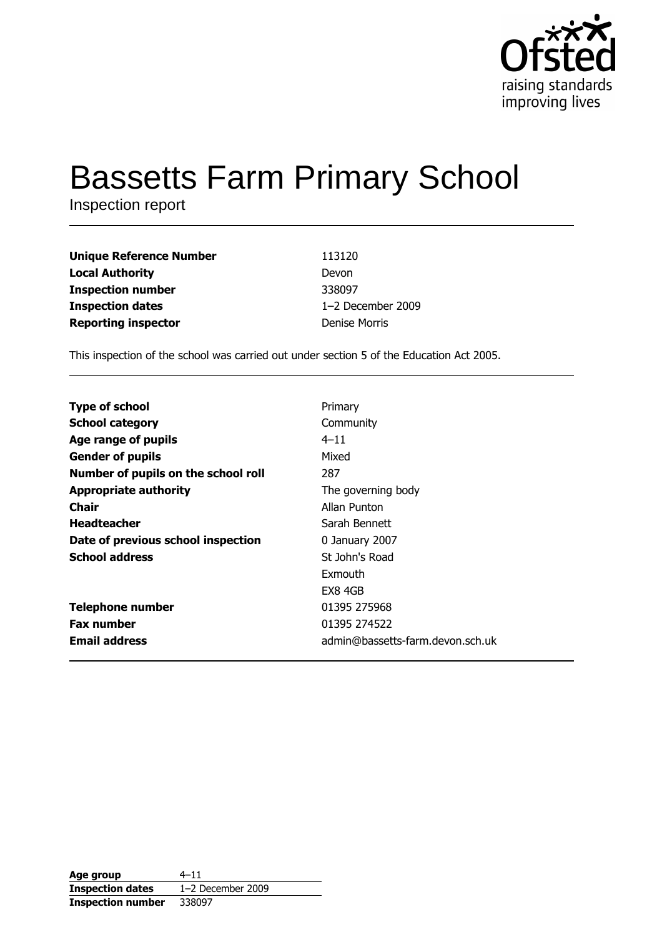

# **Bassetts Farm Primary School**

Inspection report

| <b>Unique Reference Number</b> | 113120            |
|--------------------------------|-------------------|
| <b>Local Authority</b>         | Devon             |
| <b>Inspection number</b>       | 338097            |
| <b>Inspection dates</b>        | 1-2 December 2009 |
| <b>Reporting inspector</b>     | Denise Morris     |

This inspection of the school was carried out under section 5 of the Education Act 2005.

| <b>Type of school</b>               | Primary                          |
|-------------------------------------|----------------------------------|
| <b>School category</b>              | Community                        |
| Age range of pupils                 | $4 - 11$                         |
| <b>Gender of pupils</b>             | Mixed                            |
| Number of pupils on the school roll | 287                              |
| <b>Appropriate authority</b>        | The governing body               |
| Chair                               | Allan Punton                     |
| <b>Headteacher</b>                  | Sarah Bennett                    |
| Date of previous school inspection  | 0 January 2007                   |
| <b>School address</b>               | St John's Road                   |
|                                     | Exmouth                          |
|                                     | EX8 4GB                          |
| <b>Telephone number</b>             | 01395 275968                     |
| <b>Fax number</b>                   | 01395 274522                     |
| <b>Email address</b>                | admin@bassetts-farm.devon.sch.uk |
|                                     |                                  |

| Age group                | $4 - 11$            |
|--------------------------|---------------------|
| <b>Inspection dates</b>  | $1-2$ December 2009 |
| <b>Inspection number</b> | 338097              |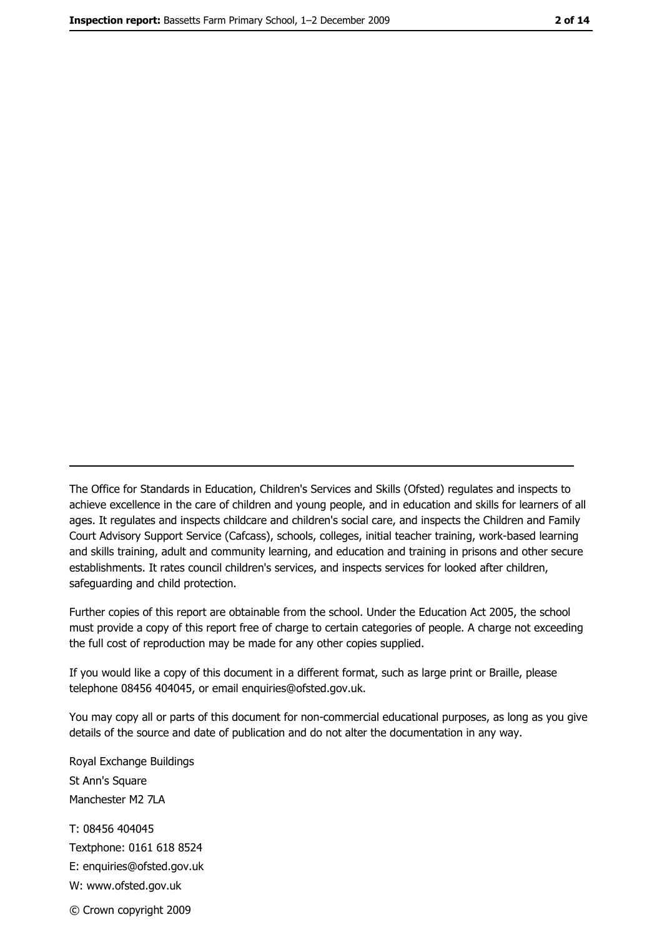The Office for Standards in Education, Children's Services and Skills (Ofsted) regulates and inspects to achieve excellence in the care of children and young people, and in education and skills for learners of all ages. It regulates and inspects childcare and children's social care, and inspects the Children and Family Court Advisory Support Service (Cafcass), schools, colleges, initial teacher training, work-based learning and skills training, adult and community learning, and education and training in prisons and other secure establishments. It rates council children's services, and inspects services for looked after children, safequarding and child protection.

Further copies of this report are obtainable from the school. Under the Education Act 2005, the school must provide a copy of this report free of charge to certain categories of people. A charge not exceeding the full cost of reproduction may be made for any other copies supplied.

If you would like a copy of this document in a different format, such as large print or Braille, please telephone 08456 404045, or email enquiries@ofsted.gov.uk.

You may copy all or parts of this document for non-commercial educational purposes, as long as you give details of the source and date of publication and do not alter the documentation in any way.

Royal Exchange Buildings St Ann's Square Manchester M2 7LA T: 08456 404045 Textphone: 0161 618 8524 E: enquiries@ofsted.gov.uk W: www.ofsted.gov.uk © Crown copyright 2009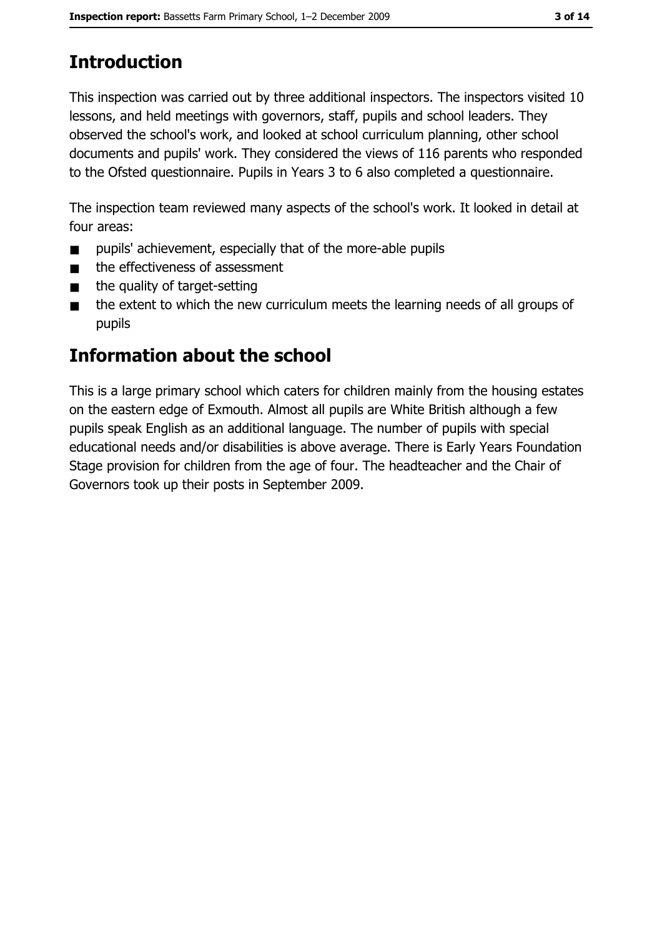# **Introduction**

This inspection was carried out by three additional inspectors. The inspectors visited 10 lessons, and held meetings with governors, staff, pupils and school leaders. They observed the school's work, and looked at school curriculum planning, other school documents and pupils' work. They considered the views of 116 parents who responded to the Ofsted questionnaire. Pupils in Years 3 to 6 also completed a questionnaire.

The inspection team reviewed many aspects of the school's work. It looked in detail at four areas:

- pupils' achievement, especially that of the more-able pupils  $\blacksquare$
- the effectiveness of assessment  $\blacksquare$
- the quality of target-setting  $\blacksquare$
- the extent to which the new curriculum meets the learning needs of all groups of  $\blacksquare$ pupils

## Information about the school

This is a large primary school which caters for children mainly from the housing estates on the eastern edge of Exmouth. Almost all pupils are White British although a few pupils speak English as an additional language. The number of pupils with special educational needs and/or disabilities is above average. There is Early Years Foundation Stage provision for children from the age of four. The headteacher and the Chair of Governors took up their posts in September 2009.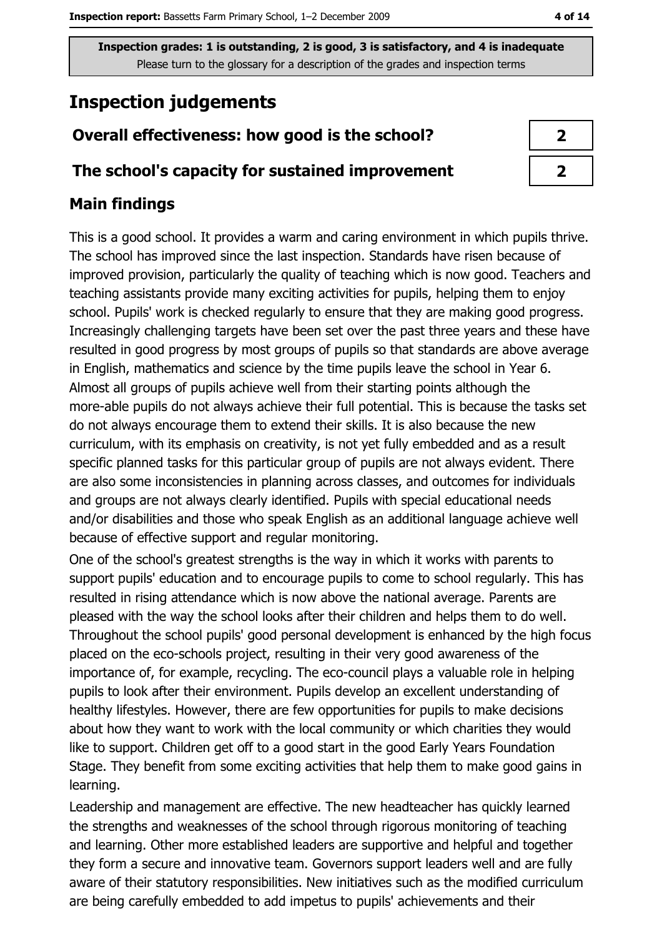# **Inspection judgements**

## Overall effectiveness: how good is the school?

#### The school's capacity for sustained improvement

## **Main findings**

This is a good school. It provides a warm and caring environment in which pupils thrive. The school has improved since the last inspection. Standards have risen because of improved provision, particularly the quality of teaching which is now good. Teachers and teaching assistants provide many exciting activities for pupils, helping them to enjoy school. Pupils' work is checked regularly to ensure that they are making good progress. Increasingly challenging targets have been set over the past three years and these have resulted in good progress by most groups of pupils so that standards are above average in English, mathematics and science by the time pupils leave the school in Year 6. Almost all groups of pupils achieve well from their starting points although the more-able pupils do not always achieve their full potential. This is because the tasks set do not always encourage them to extend their skills. It is also because the new curriculum, with its emphasis on creativity, is not yet fully embedded and as a result specific planned tasks for this particular group of pupils are not always evident. There are also some inconsistencies in planning across classes, and outcomes for individuals and groups are not always clearly identified. Pupils with special educational needs and/or disabilities and those who speak English as an additional language achieve well because of effective support and regular monitoring.

One of the school's greatest strengths is the way in which it works with parents to support pupils' education and to encourage pupils to come to school regularly. This has resulted in rising attendance which is now above the national average. Parents are pleased with the way the school looks after their children and helps them to do well. Throughout the school pupils' good personal development is enhanced by the high focus placed on the eco-schools project, resulting in their very good awareness of the importance of, for example, recycling. The eco-council plays a valuable role in helping pupils to look after their environment. Pupils develop an excellent understanding of healthy lifestyles. However, there are few opportunities for pupils to make decisions about how they want to work with the local community or which charities they would like to support. Children get off to a good start in the good Early Years Foundation Stage. They benefit from some exciting activities that help them to make good gains in learning.

Leadership and management are effective. The new headteacher has quickly learned the strengths and weaknesses of the school through rigorous monitoring of teaching and learning. Other more established leaders are supportive and helpful and together they form a secure and innovative team. Governors support leaders well and are fully aware of their statutory responsibilities. New initiatives such as the modified curriculum are being carefully embedded to add impetus to pupils' achievements and their

| J |
|---|
|   |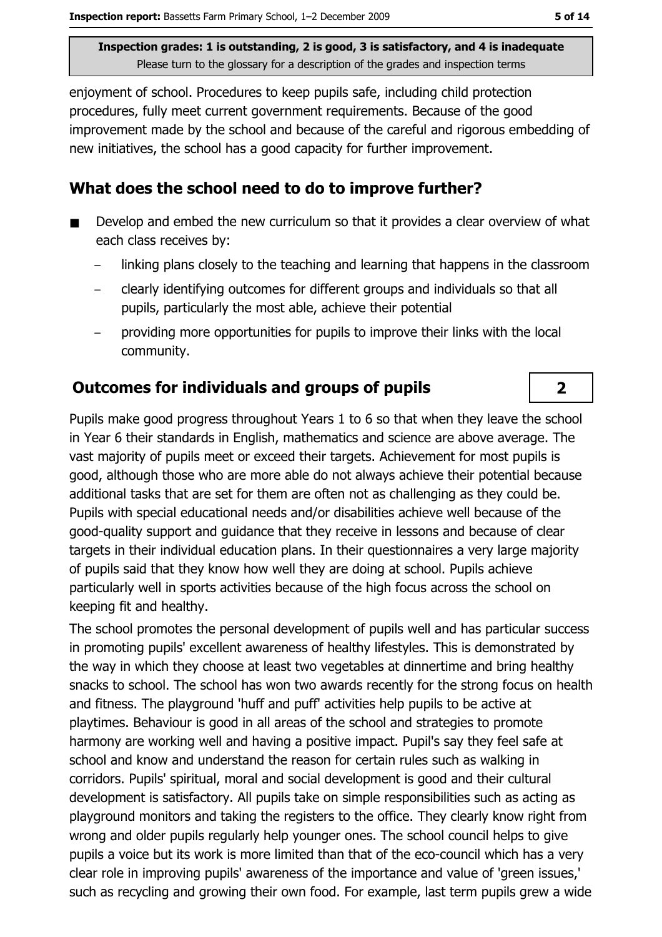enjoyment of school. Procedures to keep pupils safe, including child protection procedures, fully meet current government requirements. Because of the good improvement made by the school and because of the careful and rigorous embedding of new initiatives, the school has a good capacity for further improvement.

#### What does the school need to do to improve further?

- Develop and embed the new curriculum so that it provides a clear overview of what each class receives by:
	- linking plans closely to the teaching and learning that happens in the classroom
	- clearly identifying outcomes for different groups and individuals so that all pupils, particularly the most able, achieve their potential
	- providing more opportunities for pupils to improve their links with the local community.

#### **Outcomes for individuals and groups of pupils**

Pupils make good progress throughout Years 1 to 6 so that when they leave the school in Year 6 their standards in English, mathematics and science are above average. The vast majority of pupils meet or exceed their targets. Achievement for most pupils is good, although those who are more able do not always achieve their potential because additional tasks that are set for them are often not as challenging as they could be. Pupils with special educational needs and/or disabilities achieve well because of the good-quality support and quidance that they receive in lessons and because of clear targets in their individual education plans. In their questionnaires a very large majority of pupils said that they know how well they are doing at school. Pupils achieve particularly well in sports activities because of the high focus across the school on keeping fit and healthy.

The school promotes the personal development of pupils well and has particular success in promoting pupils' excellent awareness of healthy lifestyles. This is demonstrated by the way in which they choose at least two vegetables at dinnertime and bring healthy snacks to school. The school has won two awards recently for the strong focus on health and fitness. The playground 'huff and puff' activities help pupils to be active at playtimes. Behaviour is good in all areas of the school and strategies to promote harmony are working well and having a positive impact. Pupil's say they feel safe at school and know and understand the reason for certain rules such as walking in corridors. Pupils' spiritual, moral and social development is good and their cultural development is satisfactory. All pupils take on simple responsibilities such as acting as playground monitors and taking the registers to the office. They clearly know right from wrong and older pupils regularly help younger ones. The school council helps to give pupils a voice but its work is more limited than that of the eco-council which has a very clear role in improving pupils' awareness of the importance and value of 'green issues,' such as recycling and growing their own food. For example, last term pupils grew a wide

 $\overline{2}$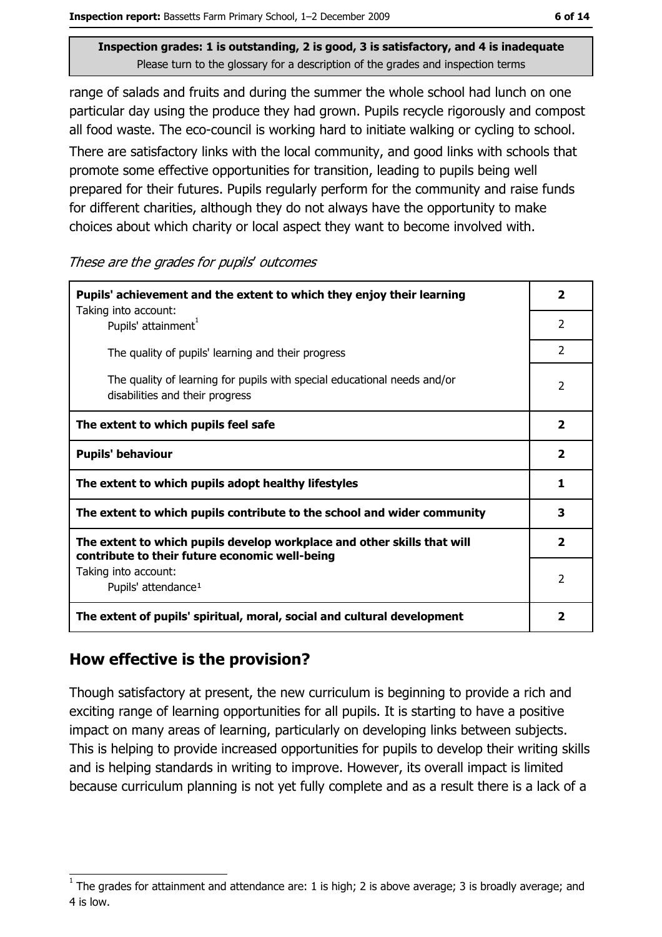range of salads and fruits and during the summer the whole school had lunch on one particular day using the produce they had grown. Pupils recycle rigorously and compost all food waste. The eco-council is working hard to initiate walking or cycling to school.

There are satisfactory links with the local community, and good links with schools that promote some effective opportunities for transition, leading to pupils being well prepared for their futures. Pupils regularly perform for the community and raise funds for different charities, although they do not always have the opportunity to make choices about which charity or local aspect they want to become involved with.

These are the grades for pupils' outcomes

| Pupils' achievement and the extent to which they enjoy their learning                                                     |                         |  |  |
|---------------------------------------------------------------------------------------------------------------------------|-------------------------|--|--|
| Taking into account:<br>Pupils' attainment <sup>1</sup>                                                                   | $\overline{2}$          |  |  |
| The quality of pupils' learning and their progress                                                                        | $\overline{2}$          |  |  |
| The quality of learning for pupils with special educational needs and/or<br>disabilities and their progress               |                         |  |  |
| The extent to which pupils feel safe                                                                                      | $\overline{\mathbf{2}}$ |  |  |
| <b>Pupils' behaviour</b>                                                                                                  |                         |  |  |
| The extent to which pupils adopt healthy lifestyles                                                                       |                         |  |  |
| The extent to which pupils contribute to the school and wider community                                                   |                         |  |  |
| The extent to which pupils develop workplace and other skills that will<br>contribute to their future economic well-being |                         |  |  |
| Taking into account:<br>Pupils' attendance <sup>1</sup>                                                                   | 2                       |  |  |
| The extent of pupils' spiritual, moral, social and cultural development                                                   | 2                       |  |  |

#### How effective is the provision?

Though satisfactory at present, the new curriculum is beginning to provide a rich and exciting range of learning opportunities for all pupils. It is starting to have a positive impact on many areas of learning, particularly on developing links between subjects. This is helping to provide increased opportunities for pupils to develop their writing skills and is helping standards in writing to improve. However, its overall impact is limited because curriculum planning is not yet fully complete and as a result there is a lack of a

The grades for attainment and attendance are: 1 is high; 2 is above average; 3 is broadly average; and 4 is low.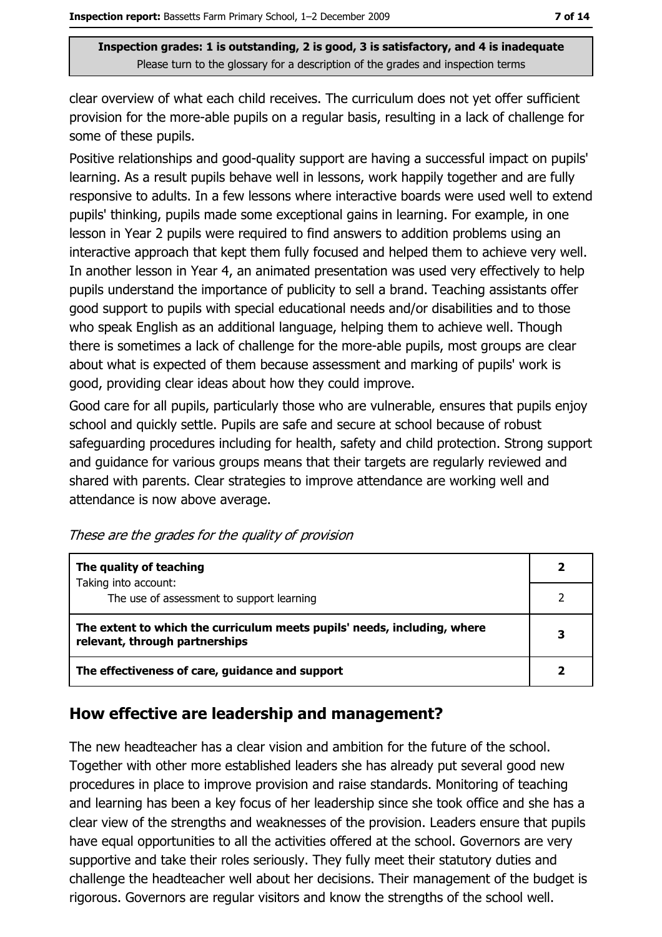clear overview of what each child receives. The curriculum does not yet offer sufficient provision for the more-able pupils on a regular basis, resulting in a lack of challenge for some of these pupils.

Positive relationships and good-quality support are having a successful impact on pupils' learning. As a result pupils behave well in lessons, work happily together and are fully responsive to adults. In a few lessons where interactive boards were used well to extend pupils' thinking, pupils made some exceptional gains in learning. For example, in one lesson in Year 2 pupils were required to find answers to addition problems using an interactive approach that kept them fully focused and helped them to achieve very well. In another lesson in Year 4, an animated presentation was used very effectively to help pupils understand the importance of publicity to sell a brand. Teaching assistants offer good support to pupils with special educational needs and/or disabilities and to those who speak English as an additional language, helping them to achieve well. Though there is sometimes a lack of challenge for the more-able pupils, most groups are clear about what is expected of them because assessment and marking of pupils' work is good, providing clear ideas about how they could improve.

Good care for all pupils, particularly those who are vulnerable, ensures that pupils enjoy school and quickly settle. Pupils are safe and secure at school because of robust safeguarding procedures including for health, safety and child protection. Strong support and quidance for various groups means that their targets are regularly reviewed and shared with parents. Clear strategies to improve attendance are working well and attendance is now above average.

These are the grades for the quality of provision

| The quality of teaching                                                                                    |   |
|------------------------------------------------------------------------------------------------------------|---|
| Taking into account:<br>The use of assessment to support learning                                          |   |
| The extent to which the curriculum meets pupils' needs, including, where<br>relevant, through partnerships | 3 |
| The effectiveness of care, guidance and support                                                            |   |

#### How effective are leadership and management?

The new headteacher has a clear vision and ambition for the future of the school. Together with other more established leaders she has already put several good new procedures in place to improve provision and raise standards. Monitoring of teaching and learning has been a key focus of her leadership since she took office and she has a clear view of the strengths and weaknesses of the provision. Leaders ensure that pupils have equal opportunities to all the activities offered at the school. Governors are very supportive and take their roles seriously. They fully meet their statutory duties and challenge the headteacher well about her decisions. Their management of the budget is rigorous. Governors are regular visitors and know the strengths of the school well.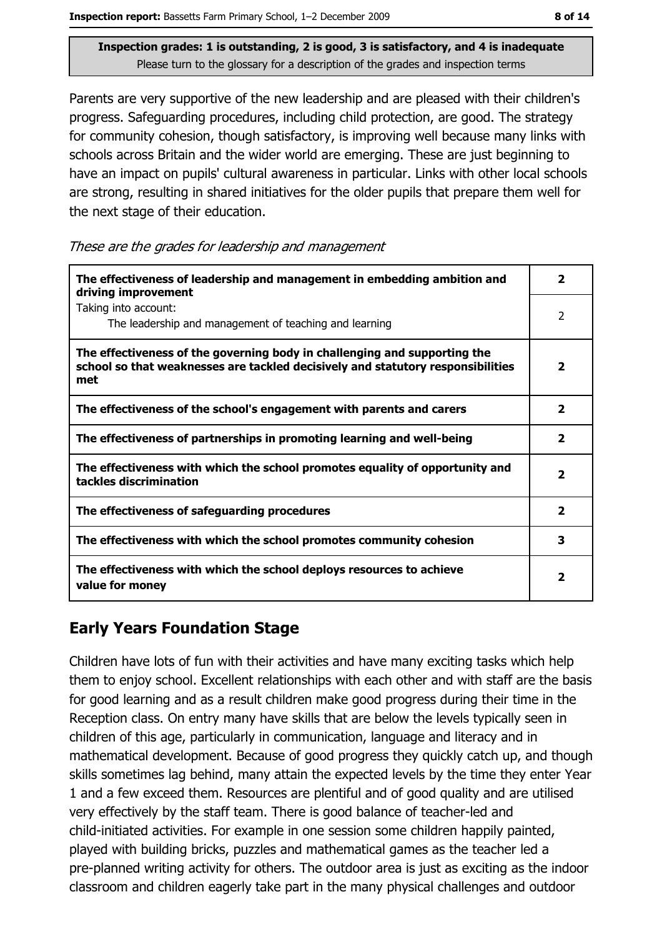Parents are very supportive of the new leadership and are pleased with their children's progress. Safeguarding procedures, including child protection, are good. The strategy for community cohesion, though satisfactory, is improving well because many links with schools across Britain and the wider world are emerging. These are just beginning to have an impact on pupils' cultural awareness in particular. Links with other local schools are strong, resulting in shared initiatives for the older pupils that prepare them well for the next stage of their education.

|  |  | These are the grades for leadership and management |  |  |
|--|--|----------------------------------------------------|--|--|
|  |  |                                                    |  |  |
|  |  |                                                    |  |  |
|  |  |                                                    |  |  |

| The effectiveness of leadership and management in embedding ambition and<br>driving improvement                                                                     |                         |  |
|---------------------------------------------------------------------------------------------------------------------------------------------------------------------|-------------------------|--|
| Taking into account:<br>The leadership and management of teaching and learning                                                                                      | 2                       |  |
| The effectiveness of the governing body in challenging and supporting the<br>school so that weaknesses are tackled decisively and statutory responsibilities<br>met | $\overline{\mathbf{2}}$ |  |
| The effectiveness of the school's engagement with parents and carers                                                                                                | $\overline{\mathbf{2}}$ |  |
| The effectiveness of partnerships in promoting learning and well-being                                                                                              | $\overline{\mathbf{2}}$ |  |
| The effectiveness with which the school promotes equality of opportunity and<br>tackles discrimination                                                              | $\overline{\mathbf{2}}$ |  |
| The effectiveness of safeguarding procedures                                                                                                                        | $\overline{\mathbf{2}}$ |  |
| The effectiveness with which the school promotes community cohesion                                                                                                 | 3                       |  |
| The effectiveness with which the school deploys resources to achieve<br>value for money                                                                             | 2                       |  |

### **Early Years Foundation Stage**

Children have lots of fun with their activities and have many exciting tasks which help them to enjoy school. Excellent relationships with each other and with staff are the basis for good learning and as a result children make good progress during their time in the Reception class. On entry many have skills that are below the levels typically seen in children of this age, particularly in communication, language and literacy and in mathematical development. Because of good progress they quickly catch up, and though skills sometimes lag behind, many attain the expected levels by the time they enter Year 1 and a few exceed them. Resources are plentiful and of good quality and are utilised very effectively by the staff team. There is good balance of teacher-led and child-initiated activities. For example in one session some children happily painted, played with building bricks, puzzles and mathematical games as the teacher led a pre-planned writing activity for others. The outdoor area is just as exciting as the indoor classroom and children eagerly take part in the many physical challenges and outdoor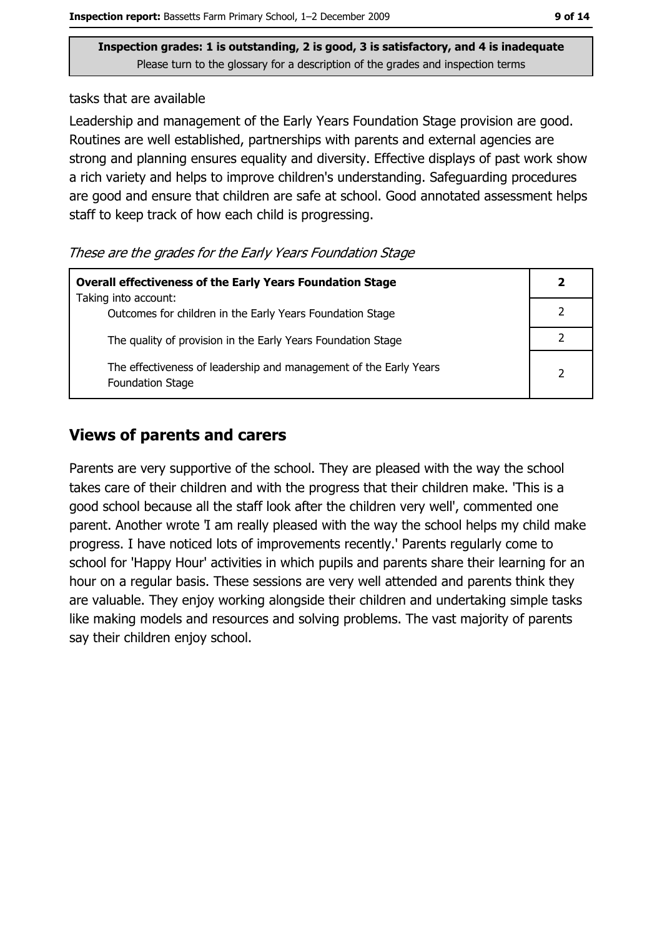tasks that are available

Leadership and management of the Early Years Foundation Stage provision are good. Routines are well established, partnerships with parents and external agencies are strong and planning ensures equality and diversity. Effective displays of past work show a rich variety and helps to improve children's understanding. Safeguarding procedures are good and ensure that children are safe at school. Good annotated assessment helps staff to keep track of how each child is progressing.

These are the grades for the Early Years Foundation Stage

| <b>Overall effectiveness of the Early Years Foundation Stage</b>                             |  |  |
|----------------------------------------------------------------------------------------------|--|--|
| Taking into account:<br>Outcomes for children in the Early Years Foundation Stage            |  |  |
| The quality of provision in the Early Years Foundation Stage                                 |  |  |
| The effectiveness of leadership and management of the Early Years<br><b>Foundation Stage</b> |  |  |

#### **Views of parents and carers**

Parents are very supportive of the school. They are pleased with the way the school takes care of their children and with the progress that their children make. This is a good school because all the staff look after the children very well', commented one parent. Another wrote 'I am really pleased with the way the school helps my child make progress. I have noticed lots of improvements recently.' Parents regularly come to school for 'Happy Hour' activities in which pupils and parents share their learning for an hour on a regular basis. These sessions are very well attended and parents think they are valuable. They enjoy working alongside their children and undertaking simple tasks like making models and resources and solving problems. The vast majority of parents say their children enjoy school.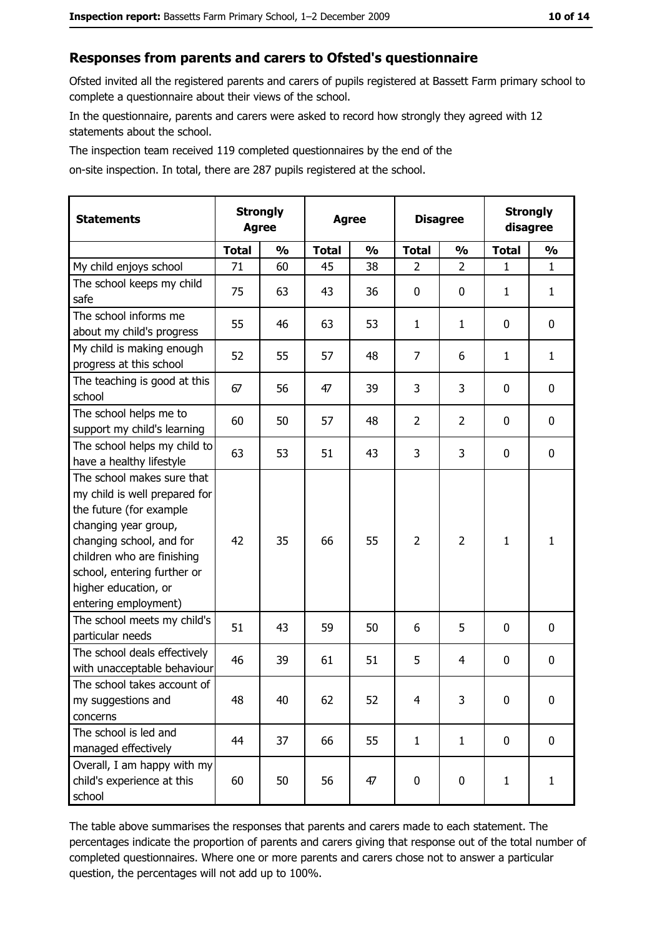#### Responses from parents and carers to Ofsted's questionnaire

Ofsted invited all the registered parents and carers of pupils registered at Bassett Farm primary school to complete a questionnaire about their views of the school.

In the questionnaire, parents and carers were asked to record how strongly they agreed with 12 statements about the school.

The inspection team received 119 completed questionnaires by the end of the

on-site inspection. In total, there are 287 pupils registered at the school.

| <b>Statements</b>                                                                                                                                                                                                                                       | <b>Strongly</b><br><b>Agree</b> |               | <b>Agree</b> |               |                | <b>Disagree</b> |              | <b>Strongly</b><br>disagree |  |
|---------------------------------------------------------------------------------------------------------------------------------------------------------------------------------------------------------------------------------------------------------|---------------------------------|---------------|--------------|---------------|----------------|-----------------|--------------|-----------------------------|--|
|                                                                                                                                                                                                                                                         | <b>Total</b>                    | $\frac{0}{0}$ | <b>Total</b> | $\frac{0}{0}$ | <b>Total</b>   | $\frac{0}{0}$   | <b>Total</b> | $\frac{1}{2}$               |  |
| My child enjoys school                                                                                                                                                                                                                                  | 71                              | 60            | 45           | 38            | $\overline{2}$ | $\overline{2}$  | $\mathbf{1}$ | $\mathbf{1}$                |  |
| The school keeps my child<br>safe                                                                                                                                                                                                                       | 75                              | 63            | 43           | 36            | 0              | 0               | 1            | $\mathbf{1}$                |  |
| The school informs me<br>about my child's progress                                                                                                                                                                                                      | 55                              | 46            | 63           | 53            | $\mathbf{1}$   | $\mathbf{1}$    | 0            | $\mathbf 0$                 |  |
| My child is making enough<br>progress at this school                                                                                                                                                                                                    | 52                              | 55            | 57           | 48            | $\overline{7}$ | 6               | 1            | $\mathbf{1}$                |  |
| The teaching is good at this<br>school                                                                                                                                                                                                                  | 67                              | 56            | 47           | 39            | 3              | 3               | 0            | $\mathbf 0$                 |  |
| The school helps me to<br>support my child's learning                                                                                                                                                                                                   | 60                              | 50            | 57           | 48            | $\overline{2}$ | $\overline{2}$  | 0            | $\mathbf 0$                 |  |
| The school helps my child to<br>have a healthy lifestyle                                                                                                                                                                                                | 63                              | 53            | 51           | 43            | 3              | 3               | 0            | 0                           |  |
| The school makes sure that<br>my child is well prepared for<br>the future (for example<br>changing year group,<br>changing school, and for<br>children who are finishing<br>school, entering further or<br>higher education, or<br>entering employment) | 42                              | 35            | 66           | 55            | $\overline{2}$ | $\overline{2}$  | 1            | $\mathbf{1}$                |  |
| The school meets my child's<br>particular needs                                                                                                                                                                                                         | 51                              | 43            | 59           | 50            | 6              | 5               | 0            | $\mathbf 0$                 |  |
| The school deals effectively<br>with unacceptable behaviour                                                                                                                                                                                             | 46                              | 39            | 61           | 51            | 5              | 4               | 0            | 0                           |  |
| The school takes account of<br>my suggestions and<br>concerns                                                                                                                                                                                           | 48                              | 40            | 62           | 52            | $\overline{4}$ | 3               | 0            | 0                           |  |
| The school is led and<br>managed effectively                                                                                                                                                                                                            | 44                              | 37            | 66           | 55            | $\mathbf{1}$   | $\mathbf{1}$    | 0            | $\mathbf 0$                 |  |
| Overall, I am happy with my<br>child's experience at this<br>school                                                                                                                                                                                     | 60                              | 50            | 56           | 47            | 0              | 0               | $\mathbf{1}$ | $\mathbf{1}$                |  |

The table above summarises the responses that parents and carers made to each statement. The percentages indicate the proportion of parents and carers giving that response out of the total number of completed questionnaires. Where one or more parents and carers chose not to answer a particular question, the percentages will not add up to 100%.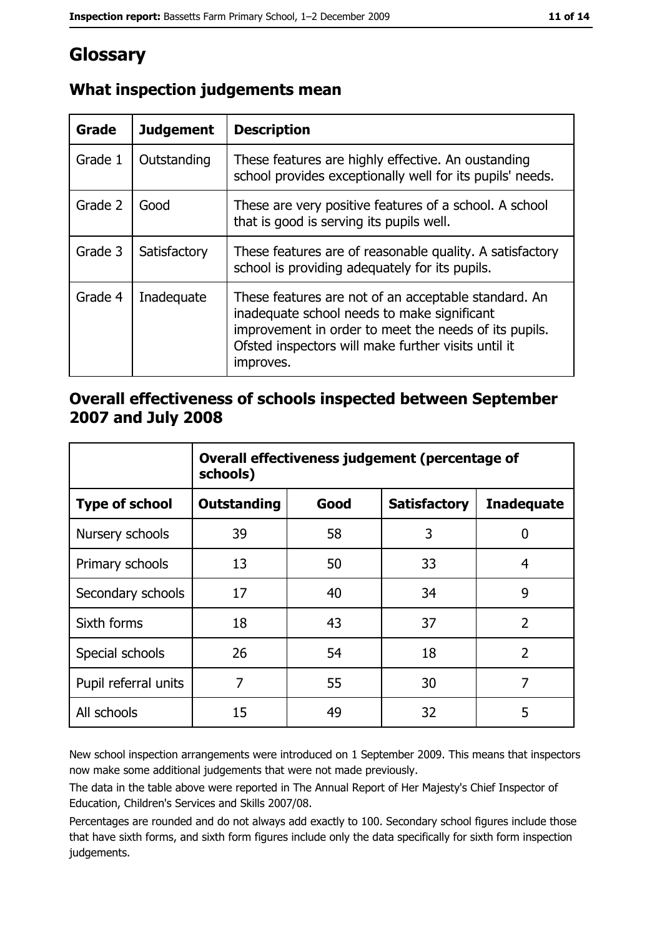# Glossary

| Grade   | <b>Judgement</b> | <b>Description</b>                                                                                                                                                                                                               |
|---------|------------------|----------------------------------------------------------------------------------------------------------------------------------------------------------------------------------------------------------------------------------|
| Grade 1 | Outstanding      | These features are highly effective. An oustanding<br>school provides exceptionally well for its pupils' needs.                                                                                                                  |
| Grade 2 | Good             | These are very positive features of a school. A school<br>that is good is serving its pupils well.                                                                                                                               |
| Grade 3 | Satisfactory     | These features are of reasonable quality. A satisfactory<br>school is providing adequately for its pupils.                                                                                                                       |
| Grade 4 | Inadequate       | These features are not of an acceptable standard. An<br>inadequate school needs to make significant<br>improvement in order to meet the needs of its pupils.<br>Ofsted inspectors will make further visits until it<br>improves. |

## What inspection judgements mean

## Overall effectiveness of schools inspected between September 2007 and July 2008

|                       | Overall effectiveness judgement (percentage of<br>schools) |      |                     |                   |  |
|-----------------------|------------------------------------------------------------|------|---------------------|-------------------|--|
| <b>Type of school</b> | <b>Outstanding</b>                                         | Good | <b>Satisfactory</b> | <b>Inadequate</b> |  |
| Nursery schools       | 39                                                         | 58   | 3                   | 0                 |  |
| Primary schools       | 13                                                         | 50   | 33                  | 4                 |  |
| Secondary schools     | 17                                                         | 40   | 34                  | 9                 |  |
| Sixth forms           | 18                                                         | 43   | 37                  | $\overline{2}$    |  |
| Special schools       | 26                                                         | 54   | 18                  | $\overline{2}$    |  |
| Pupil referral units  | 7                                                          | 55   | 30                  | 7                 |  |
| All schools           | 15                                                         | 49   | 32                  | 5                 |  |

New school inspection arrangements were introduced on 1 September 2009. This means that inspectors now make some additional judgements that were not made previously.

The data in the table above were reported in The Annual Report of Her Majesty's Chief Inspector of Education, Children's Services and Skills 2007/08.

Percentages are rounded and do not always add exactly to 100. Secondary school figures include those that have sixth forms, and sixth form figures include only the data specifically for sixth form inspection judgements.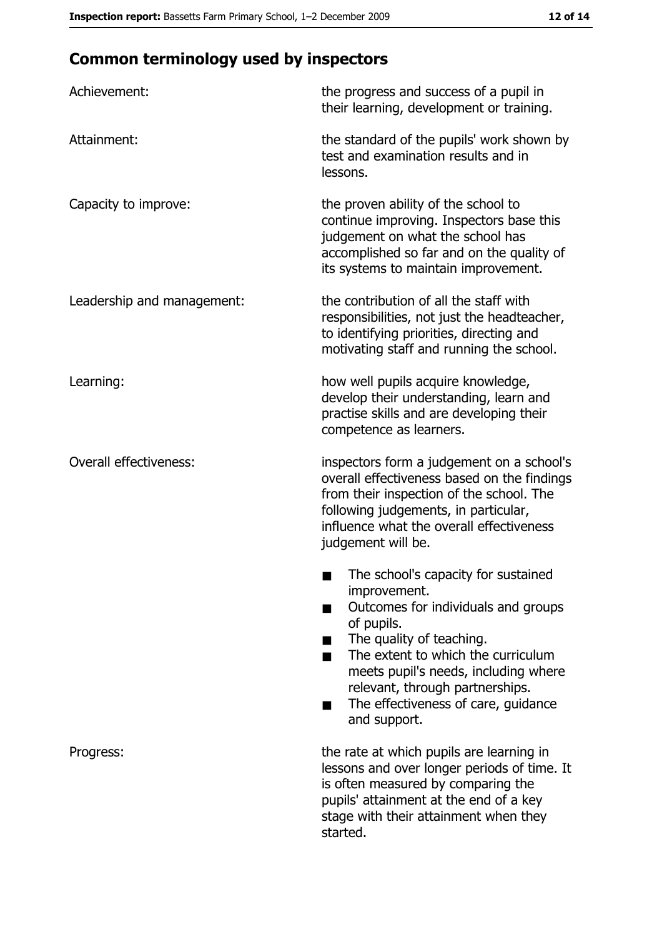# **Common terminology used by inspectors**

| Achievement:                  | the progress and success of a pupil in<br>their learning, development or training.                                                                                                                                                                                                                                |
|-------------------------------|-------------------------------------------------------------------------------------------------------------------------------------------------------------------------------------------------------------------------------------------------------------------------------------------------------------------|
| Attainment:                   | the standard of the pupils' work shown by<br>test and examination results and in<br>lessons.                                                                                                                                                                                                                      |
| Capacity to improve:          | the proven ability of the school to<br>continue improving. Inspectors base this<br>judgement on what the school has<br>accomplished so far and on the quality of<br>its systems to maintain improvement.                                                                                                          |
| Leadership and management:    | the contribution of all the staff with<br>responsibilities, not just the headteacher,<br>to identifying priorities, directing and<br>motivating staff and running the school.                                                                                                                                     |
| Learning:                     | how well pupils acquire knowledge,<br>develop their understanding, learn and<br>practise skills and are developing their<br>competence as learners.                                                                                                                                                               |
| <b>Overall effectiveness:</b> | inspectors form a judgement on a school's<br>overall effectiveness based on the findings<br>from their inspection of the school. The<br>following judgements, in particular,<br>influence what the overall effectiveness<br>judgement will be.                                                                    |
|                               | The school's capacity for sustained<br>improvement.<br>Outcomes for individuals and groups<br>of pupils.<br>The quality of teaching.<br>The extent to which the curriculum<br>meets pupil's needs, including where<br>relevant, through partnerships.<br>The effectiveness of care, guidance<br>٠<br>and support. |
| Progress:                     | the rate at which pupils are learning in<br>lessons and over longer periods of time. It<br>is often measured by comparing the<br>pupils' attainment at the end of a key<br>stage with their attainment when they<br>started.                                                                                      |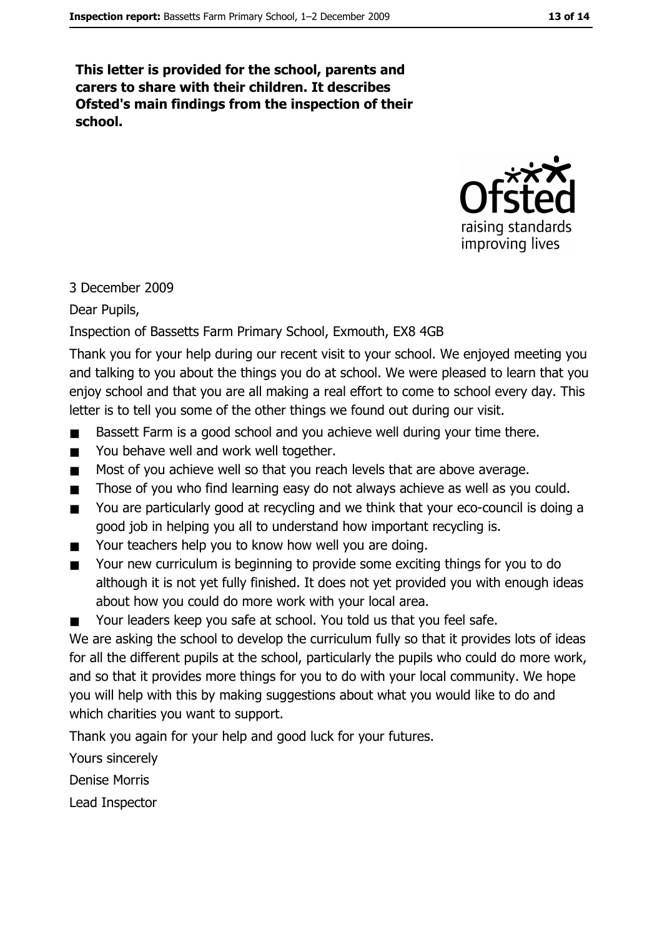This letter is provided for the school, parents and carers to share with their children. It describes Ofsted's main findings from the inspection of their school.



#### 3 December 2009

Dear Pupils,

#### Inspection of Bassetts Farm Primary School, Exmouth, EX8 4GB

Thank you for your help during our recent visit to your school. We enjoyed meeting you and talking to you about the things you do at school. We were pleased to learn that you enjoy school and that you are all making a real effort to come to school every day. This letter is to tell you some of the other things we found out during our visit.

- Bassett Farm is a good school and you achieve well during your time there.  $\blacksquare$
- You behave well and work well together.  $\blacksquare$
- Most of you achieve well so that you reach levels that are above average.  $\blacksquare$
- Those of you who find learning easy do not always achieve as well as you could.  $\blacksquare$
- You are particularly good at recycling and we think that your eco-council is doing a  $\blacksquare$ good job in helping you all to understand how important recycling is.
- Your teachers help you to know how well you are doing.  $\blacksquare$
- Your new curriculum is beginning to provide some exciting things for you to do  $\blacksquare$ although it is not yet fully finished. It does not yet provided you with enough ideas about how you could do more work with your local area.
- Your leaders keep you safe at school. You told us that you feel safe.  $\blacksquare$

We are asking the school to develop the curriculum fully so that it provides lots of ideas for all the different pupils at the school, particularly the pupils who could do more work, and so that it provides more things for you to do with your local community. We hope you will help with this by making suggestions about what you would like to do and which charities you want to support.

Thank you again for your help and good luck for your futures.

Yours sincerely

**Denise Morris** 

Lead Inspector